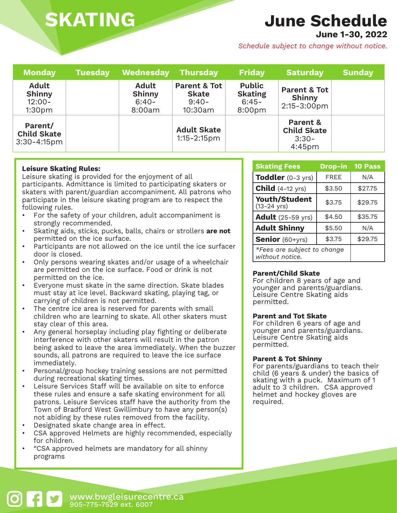# **SKATING**

# **June Schedule**

**June 1-30, 2022**

*Schedule subject to change without notice.*

| <b>Monday</b>                                                    | <b>Tuesday</b> | Wednesday                                          | <b>Thursday</b>                                               | <b>Friday</b>                                                    | <b>Saturday</b>                                                 | <b>Sunday</b> |
|------------------------------------------------------------------|----------------|----------------------------------------------------|---------------------------------------------------------------|------------------------------------------------------------------|-----------------------------------------------------------------|---------------|
| <b>Adult</b><br><b>Shinny</b><br>$12:00 -$<br>1:30 <sub>pm</sub> |                | <b>Adult</b><br><b>Shinny</b><br>$6:40-$<br>8:00am | <b>Parent &amp; Tot</b><br><b>Skate</b><br>$9:40-$<br>10:30am | <b>Public</b><br><b>Skating</b><br>$6:45-$<br>8:00 <sub>pm</sub> | <b>Parent &amp; Tot</b><br>Shinny<br>$2:15 - 3:00 \text{pm}$    |               |
| Parent/<br><b>Child Skate</b><br>$3:30 - 4:15$ pm                |                |                                                    | <b>Adult Skate</b><br>$1:15 - 2:15$ pm                        |                                                                  | Parent &<br><b>Child Skate</b><br>$3:30-$<br>4:45 <sub>pm</sub> |               |

## **Leisure Skating Rules:**

Leisure skating is provided for the enjoyment of all participants. Admittance is limited to participating skaters or skaters with parent/guardian accompaniment. All patrons who participate in the leisure skating program are to respect the following rules.

- For the safety of your children, adult accompaniment is strongly recommended.
- Skating aids, sticks, pucks, balls, chairs or strollers **are not**  permitted on the ice surface.
- Participants are not allowed on the ice until the ice surfacer door is closed.
- Only persons wearing skates and/or usage of a wheelchair are permitted on the ice surface. Food or drink is not permitted on the ice.
- Everyone must skate in the same direction. Skate blades must stay at ice level. Backward skating, playing tag, or carrying of children is not permitted.
- The centre ice area is reserved for parents with small children who are learning to skate. All other skaters must stay clear of this area.
- Any general horseplay including play fighting or deliberate interference with other skaters will result in the patron being asked to leave the area immediately. When the buzzer sounds, all patrons are required to leave the ice surface immediately.
- Personal/group hockey training sessions are not permitted during recreational skating times.
- Leisure Services Staff will be available on site to enforce these rules and ensure a safe skating environment for all patrons. Leisure Services staff have the authority from the Town of Bradford West Gwillimbury to have any person(s) not abiding by these rules removed from the facility.
- Designated skate change area in effect.
- CSA approved Helmets are highly recommended, especially for children.
- "CSA approved helmets are mandatory for all shinny programs

| <b>Skating Fees</b>                             | <b>Drop-in</b> | <b>10 Pass</b> |
|-------------------------------------------------|----------------|----------------|
| <b>Toddler</b> $(0-3 \text{ yrs})$              | <b>FREE</b>    | N/A            |
| <b>Child</b> $(4-12 \text{ yrs})$               | \$3.50         | \$27.75        |
| <b>Youth/Student</b><br>$(13 - 24 \text{ yrs})$ | \$3.75         | \$29.75        |
| <b>Adult</b> (25-59 yrs)                        | \$4.50         | \$35.75        |
| <b>Adult Shinny</b>                             | \$5.50         | N/A            |
| Senior (60+yrs)                                 | \$3.75         | \$29.75        |
| *Fees are subject to change<br>without notice.  |                |                |

## **Parent/Child Skate**

For children 8 years of age and younger and parents/guardians. Leisure Centre Skating aids permitted.

### **Parent and Tot Skate**

For children 6 years of age and younger and parents/guardians. Leisure Centre Skating aids permitted.

### **Parent & Tot Shinny**

For parents/guardians to teach their child (6 years & under) the basics of skating with a puck. Maximum of 1 adult to 3 children. CSA approved helmet and hockey gloves are required.

www.bwgleisurecentre.ca 905-775-7529 ext. 6007